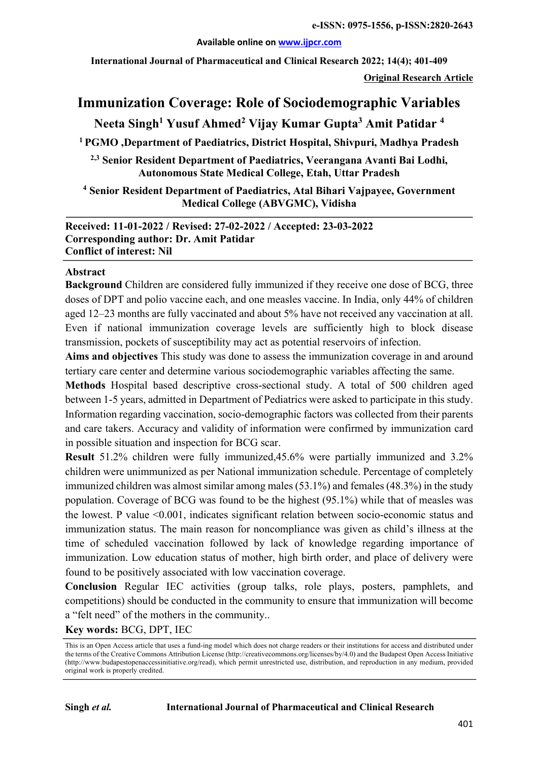#### **Available online on www.ijpcr.com**

**International Journal of Pharmaceutical and Clinical Research 2022; 14(4); 401-409**

**Original Research Article**

# **Immunization Coverage: Role of Sociodemographic Variables**

# **Neeta Singh1 Yusuf Ahmed2 Vijay Kumar Gupta3 Amit Patidar 4**

**1 PGMO ,Department of Paediatrics, District Hospital, Shivpuri, Madhya Pradesh**

**2,3 Senior Resident Department of Paediatrics, Veerangana Avanti Bai Lodhi, Autonomous State Medical College, Etah, Uttar Pradesh**

**<sup>4</sup> Senior Resident Department of Paediatrics, Atal Bihari Vajpayee, Government Medical College (ABVGMC), Vidisha**

**Received: 11-01-2022 / Revised: 27-02-2022 / Accepted: 23-03-2022 Corresponding author: Dr. Amit Patidar Conflict of interest: Nil**

#### **Abstract**

**Background** Children are considered fully immunized if they receive one dose of BCG, three doses of DPT and polio vaccine each, and one measles vaccine. In India, only 44% of children aged 12–23 months are fully vaccinated and about 5% have not received any vaccination at all. Even if national immunization coverage levels are sufficiently high to block disease transmission, pockets of susceptibility may act as potential reservoirs of infection.

**Aims and objectives** This study was done to assess the immunization coverage in and around tertiary care center and determine various sociodemographic variables affecting the same.

**Methods** Hospital based descriptive cross-sectional study. A total of 500 children aged between 1-5 years, admitted in Department of Pediatrics were asked to participate in this study. Information regarding vaccination, socio-demographic factors was collected from their parents and care takers. Accuracy and validity of information were confirmed by immunization card in possible situation and inspection for BCG scar.

**Result** 51.2% children were fully immunized,45.6% were partially immunized and 3.2% children were unimmunized as per National immunization schedule. Percentage of completely immunized children was almost similar among males (53.1%) and females (48.3%) in the study population. Coverage of BCG was found to be the highest (95.1%) while that of measles was the lowest. P value <0.001, indicates significant relation between socio-economic status and immunization status. The main reason for noncompliance was given as child's illness at the time of scheduled vaccination followed by lack of knowledge regarding importance of immunization. Low education status of mother, high birth order, and place of delivery were found to be positively associated with low vaccination coverage.

**Conclusion** Regular IEC activities (group talks, role plays, posters, pamphlets, and competitions) should be conducted in the community to ensure that immunization will become a "felt need" of the mothers in the community..

**Key words:** BCG, DPT, IEC

This is an Open Access article that uses a fund-ing model which does not charge readers or their institutions for access and distributed under the terms of the Creative Commons Attribution License (http://creativecommons.org/licenses/by/4.0) and the Budapest Open Access Initiative (http://www.budapestopenaccessinitiative.org/read), which permit unrestricted use, distribution, and reproduction in any medium, provided original work is properly credited.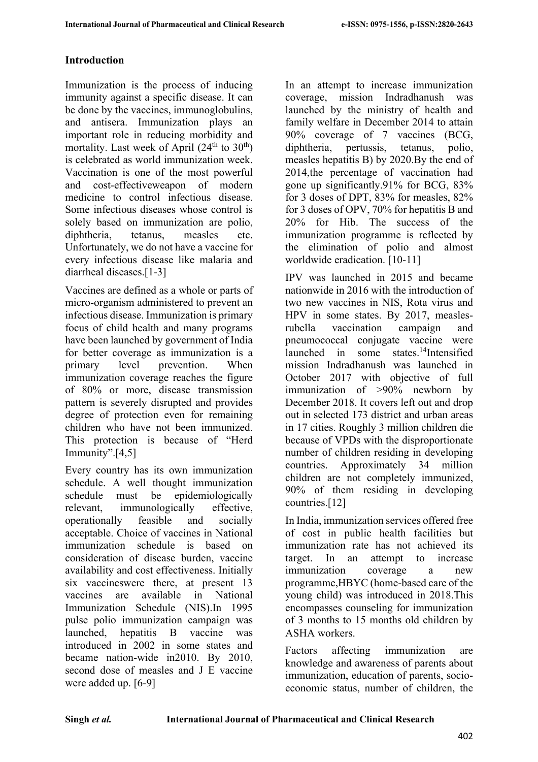# **Introduction**

Immunization is the process of inducing immunity against a specific disease. It can be done by the vaccines, immunoglobulins, and antisera. Immunization plays an important role in reducing morbidity and mortality. Last week of April  $(24<sup>th</sup>$  to  $30<sup>th</sup>)$ is celebrated as world immunization week. Vaccination is one of the most powerful and cost-effectiveweapon of modern medicine to control infectious disease. Some infectious diseases whose control is solely based on immunization are polio, diphtheria, tetanus, measles etc. Unfortunately, we do not have a vaccine for every infectious disease like malaria and diarrheal diseases.[1-3]

Vaccines are defined as a whole or parts of micro-organism administered to prevent an infectious disease. Immunization is primary focus of child health and many programs have been launched by government of India for better coverage as immunization is a primary level prevention. When immunization coverage reaches the figure of 80% or more, disease transmission pattern is severely disrupted and provides degree of protection even for remaining children who have not been immunized. This protection is because of "Herd Immunity".[4,5]

Every country has its own immunization schedule. A well thought immunization schedule must be epidemiologically relevant, immunologically effective, operationally feasible and socially acceptable. Choice of vaccines in National immunization schedule is based on consideration of disease burden, vaccine availability and cost effectiveness. Initially six vaccineswere there, at present 13 vaccines are available in National Immunization Schedule (NIS).In 1995 pulse polio immunization campaign was launched, hepatitis B vaccine was introduced in 2002 in some states and became nation-wide in2010. By 2010, second dose of measles and J E vaccine were added up. [6-9]

In an attempt to increase immunization coverage, mission Indradhanush was launched by the ministry of health and family welfare in December 2014 to attain 90% coverage of 7 vaccines (BCG, diphtheria, pertussis, tetanus, polio, measles hepatitis B) by 2020.By the end of 2014,the percentage of vaccination had gone up significantly.91% for BCG, 83% for 3 doses of DPT, 83% for measles, 82% for 3 doses of OPV, 70% for hepatitis B and 20% for Hib. The success of the immunization programme is reflected by the elimination of polio and almost worldwide eradication. [10-11]

IPV was launched in 2015 and became nationwide in 2016 with the introduction of two new vaccines in NIS, Rota virus and HPV in some states. By 2017, measlesrubella vaccination campaign and pneumococcal conjugate vaccine were launched in some states.14Intensified mission Indradhanush was launched in October 2017 with objective of full immunization of >90% newborn by December 2018. It covers left out and drop out in selected 173 district and urban areas in 17 cities. Roughly 3 million children die because of VPDs with the disproportionate number of children residing in developing countries. Approximately 34 million children are not completely immunized, 90% of them residing in developing countries.[12]

In India, immunization services offered free of cost in public health facilities but immunization rate has not achieved its target. In an attempt to increase immunization coverage a new programme,HBYC (home-based care of the young child) was introduced in 2018.This encompasses counseling for immunization of 3 months to 15 months old children by ASHA workers.

Factors affecting immunization are knowledge and awareness of parents about immunization, education of parents, socioeconomic status, number of children, the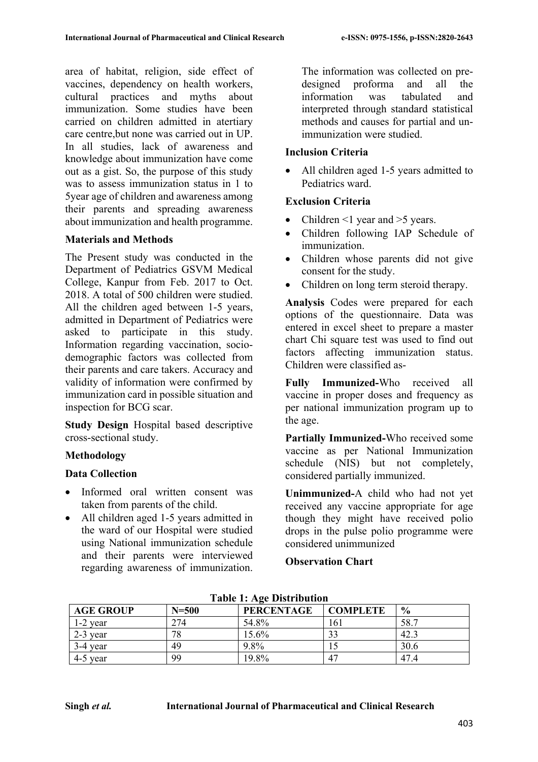area of habitat, religion, side effect of vaccines, dependency on health workers, cultural practices and myths about immunization. Some studies have been carried on children admitted in atertiary care centre,but none was carried out in UP. In all studies, lack of awareness and knowledge about immunization have come out as a gist. So, the purpose of this study was to assess immunization status in 1 to 5year age of children and awareness among their parents and spreading awareness about immunization and health programme.

### **Materials and Methods**

The Present study was conducted in the Department of Pediatrics GSVM Medical College, Kanpur from Feb. 2017 to Oct. 2018. A total of 500 children were studied. All the children aged between 1-5 years, admitted in Department of Pediatrics were asked to participate in this study. Information regarding vaccination, sociodemographic factors was collected from their parents and care takers. Accuracy and validity of information were confirmed by immunization card in possible situation and inspection for BCG scar.

**Study Design** Hospital based descriptive cross-sectional study.

# **Methodology**

### **Data Collection**

- Informed oral written consent was taken from parents of the child.
- All children aged 1-5 years admitted in the ward of our Hospital were studied using National immunization schedule and their parents were interviewed regarding awareness of immunization.

The information was collected on predesigned proforma and all the information was tabulated and interpreted through standard statistical methods and causes for partial and unimmunization were studied.

### **Inclusion Criteria**

• All children aged 1-5 years admitted to Pediatrics ward.

### **Exclusion Criteria**

- Children  $\leq 1$  year and  $\geq 5$  years.
- Children following IAP Schedule of immunization.
- Children whose parents did not give consent for the study.
- Children on long term steroid therapy.

**Analysis** Codes were prepared for each options of the questionnaire. Data was entered in excel sheet to prepare a master chart Chi square test was used to find out factors affecting immunization status. Children were classified as-

**Fully Immunized-**Who received all vaccine in proper doses and frequency as per national immunization program up to the age.

**Partially Immunized-**Who received some vaccine as per National Immunization schedule (NIS) but not completely, considered partially immunized.

**Unimmunized-**A child who had not yet received any vaccine appropriate for age though they might have received polio drops in the pulse polio programme were considered unimmunized

**Observation Chart**

| <b>AGE GROUP</b> | $N=500$ | <b>PERCENTAGE</b> | <b>COMPLETE</b> | $\frac{6}{6}$ |  |  |  |
|------------------|---------|-------------------|-----------------|---------------|--|--|--|
| $1-2$ year       | 274     | 54.8%             | 161             | 58.7          |  |  |  |
| $2-3$ year       | 78      | 15.6%             | 33              | 42.3          |  |  |  |
| 3-4 year         | 49      | $9.8\%$           |                 | 30.6          |  |  |  |
| $4-5$ year       | 99      | 19.8%             | $4^{\circ}$     | 47.4          |  |  |  |

**Table 1: Age Distribution**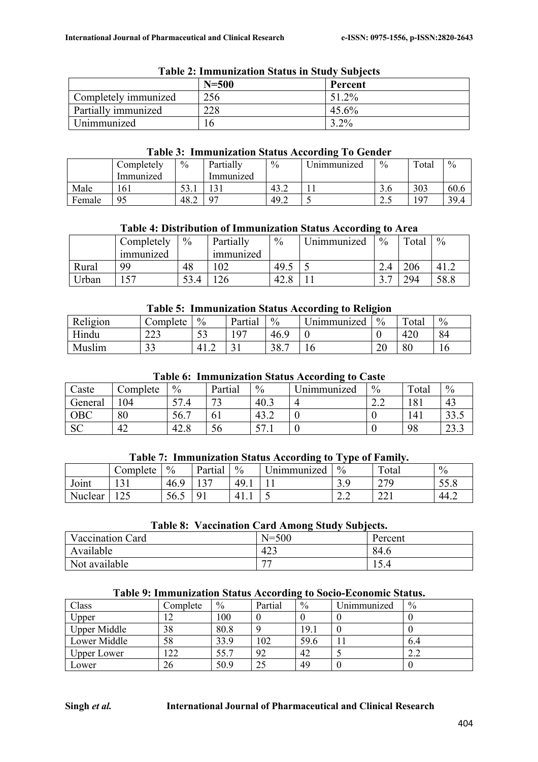|                      | $N=500$ | Percent |
|----------------------|---------|---------|
| Completely immunized | 256     | 51.2%   |
| Partially immunized  | 228     | 45.6%   |
| Unimmunized          |         | $3.2\%$ |

#### **Table 2: Immunization Status in Study Subjects**

### **Table 3: Immunization Status According To Gender**

|        | Completely | $\frac{0}{0}$ | Partially | $\frac{0}{0}$ | Jnimmunized              | $\%$ | Total | $\frac{0}{0}$ |
|--------|------------|---------------|-----------|---------------|--------------------------|------|-------|---------------|
|        | Immunized  |               | lmmunızed |               |                          |      |       |               |
| Male   | 161        | - م<br>ه د ب  |           | 43.4          |                          | J.U  | 303   | 60.6          |
| Female | 95         | 48.∠          | 07        | 49.2          | $\overline{\phantom{0}}$ | ن ک  | 197   | 39.4          |

### **Table 4: Distribution of Immunization Status According to Area**

|       | Completely | $\%$ | Partially        | $\frac{0}{0}$    | Jnımmunızed | $\frac{0}{0}$ | Total | $\%$ |
|-------|------------|------|------------------|------------------|-------------|---------------|-------|------|
|       | 1mmunized  |      | <i>immunized</i> |                  |             |               |       |      |
| Rural | 9Q         | 48   | 102              | 49.5             |             |               | 206   | 41.2 |
| Jrban |            | 53.4 |                  | $\Delta$<br>ט.⊿⊤ |             | $\sim$        | 294   | 58.8 |

### **Table 5: Immunization Status According to Religion**

| Religion | $\zeta$ complete     | $\frac{0}{0}$     | Partial | $\frac{0}{0}$ | $\mathbf{v}$<br>Jnımmunızed | $\%$ | $\mathbf{r}$<br>`otal | $\%$ |
|----------|----------------------|-------------------|---------|---------------|-----------------------------|------|-----------------------|------|
| Hindu    | $\cap$<br>دعد        | $\epsilon$<br>ر ر | 107     | 46.9          |                             |      | 420                   | 84   |
| Muslim   | $\mathcal{L}$<br>ر ر | 41.2              | ັ       | 207<br>38.    | 1 V                         | 20   | $\circ$<br>οU         | 16   |

### **Table 6: Immunization Status According to Caste**

| Caste       | ∠omplete | $\%$      | Partial         | $\frac{0}{0}$       | ັ<br>Jnimmunized | $\%$ | Total | $\frac{0}{0}$   |
|-------------|----------|-----------|-----------------|---------------------|------------------|------|-------|-----------------|
| General     | 04       | cп<br>.4  | $\sqrt{2}$<br>C | 40.3                | 4                | 2.L  | 181   | 43              |
| ${\rm OBC}$ | 80       | 56.7<br>┍ | V 1             | 43.2                | ν                |      | 141   | ن. د د          |
| <b>SC</b>   | 42       | 42.8      | эb              | cп<br>$\cdots$<br>◡ | ν                |      | 98    | $\sim$<br>ر. رے |

### **Table 7: Immunization Status According to Type of Family.**

|         | Complete                   | $\%$   | Partial                            | $\%$         | /nimmunized              | $\frac{0}{0}$               | Total            | $\%$ |
|---------|----------------------------|--------|------------------------------------|--------------|--------------------------|-----------------------------|------------------|------|
| Joint   | $\sim$ 1<br>1 J 1          | $-46.$ | $\sim$<br>$\overline{\phantom{a}}$ | 49.1         |                          | ر،ر                         | 27C<br>ر رے      | JJ.U |
| Nuclear | $\Delta$ $\epsilon$<br>14J | 56.5   | u                                  | 4<br>T 1 + 1 | $\overline{\phantom{0}}$ | $\sim$ $\sim$<br><u>L.L</u> | $\bigcap$<br>441 | 44.2 |

#### **Table 8: Vaccination Card Among Study Subjects.**

| <b>Vaccination Card</b> | $N = 500$                | Percent |
|-------------------------|--------------------------|---------|
| Available               | 423                      | 84.6    |
| Not available           | $\overline{\phantom{a}}$ | 15.4    |

### **Table 9: Immunization Status According to Socio-Economic Status.**

| Class               | Complete | $\%$ | Partial | $\frac{0}{0}$ | Unimmunized      | $\frac{0}{0}$   |
|---------------------|----------|------|---------|---------------|------------------|-----------------|
| Upper               |          | 100  |         |               |                  |                 |
| <b>Upper Middle</b> | 38       | 80.8 |         | 19.1          | U                |                 |
| Lower Middle        | 58       | 33.9 | 102     | 59.6          |                  | 6.4             |
| <b>Upper Lower</b>  | 22       | 55.7 | 92      | 42            |                  | $\Omega$<br>2.Z |
| Lower               | 26       | 50.9 | 25      | 49            | $\boldsymbol{0}$ |                 |

### **Singh** *et al.* **International Journal of Pharmaceutical and Clinical Research**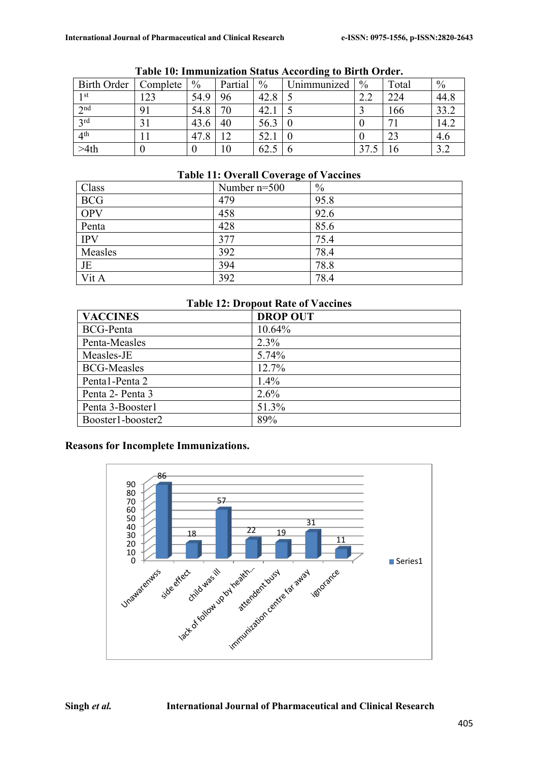| <b>Birth Order</b> | Complete | $\frac{0}{0}$ | Partial | $\frac{0}{0}$ | Unimmunized | $\frac{0}{0}$        | Total | $\frac{0}{0}$ |
|--------------------|----------|---------------|---------|---------------|-------------|----------------------|-------|---------------|
| 1 st               | 23       | 54.9          | 96      | 42.8          |             | $\cap$ $\cap$<br>2.Z | 224   | 44.8          |
| 2 <sub>nd</sub>    | 91       | 54.8          | 70      | 42.1          |             |                      | 166   | 33.2          |
| 2rd                |          | 43.6          | 40      | 56.3          |             |                      | −     | 14.2          |
| 4 <sup>th</sup>    |          | 47.8          |         | 52.1          |             |                      | 23    | 4.6           |
| >4th               |          |               | 10      | 62.5          |             | n <del>n</del>       |       | 3.2           |

#### **Table 10: Immunization Status According to Birth Order.**

# **Table 11: Overall Coverage of Vaccines**

| Class      | Number $n=500$ | $\frac{0}{0}$ |
|------------|----------------|---------------|
| <b>BCG</b> | 479            | 95.8          |
| OPV        | 458            | 92.6          |
| Penta      | 428            | 85.6          |
| <b>IPV</b> | 377            | 75.4          |
| Measles    | 392            | 78.4          |
| JE         | 394            | 78.8          |
| Vit A      | 392            | 78.4          |

### **Table 12: Dropout Rate of Vaccines**

| <b>VACCINES</b>    | <b>DROP OUT</b> |
|--------------------|-----------------|
| <b>BCG-Penta</b>   | 10.64%          |
| Penta-Measles      | $2.3\%$         |
| Measles-JE         | 5.74%           |
| <b>BCG-Measles</b> | 12.7%           |
| Pental-Penta 2     | $1.4\%$         |
| Penta 2- Penta 3   | 2.6%            |
| Penta 3-Booster1   | 51.3%           |
| Booster1-booster2  | 89%             |

# **Reasons for Incomplete Immunizations.**



#### **Singh** *et al.* **International Journal of Pharmaceutical and Clinical Research**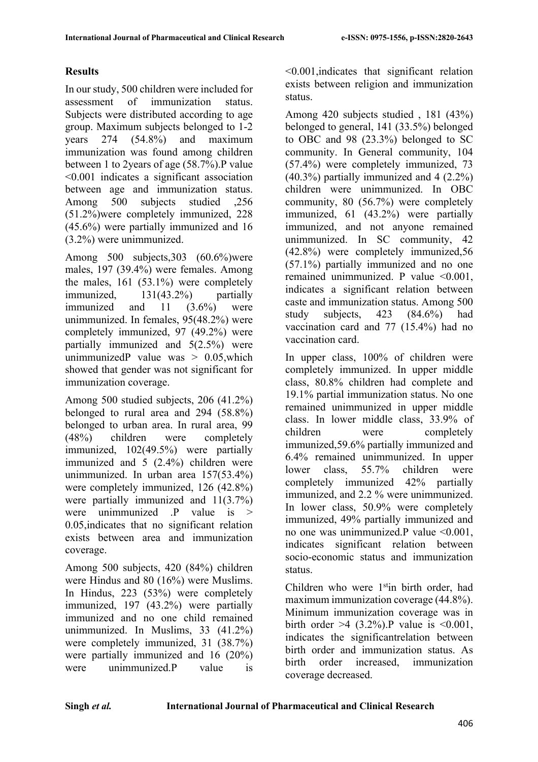# **Results**

In our study, 500 children were included for assessment of immunization status. Subjects were distributed according to age group. Maximum subjects belonged to 1-2 years 274 (54.8%) and maximum immunization was found among children between 1 to 2years of age (58.7%).P value <0.001 indicates a significant association between age and immunization status. Among 500 subjects studied ,256 (51.2%)were completely immunized, 228 (45.6%) were partially immunized and 16 (3.2%) were unimmunized.

Among 500 subjects,303 (60.6%)were males, 197 (39.4%) were females. Among the males, 161 (53.1%) were completely immunized, 131(43.2%) partially immunized and 11 (3.6%) were unimmunized. In females, 95(48.2%) were completely immunized, 97 (49.2%) were partially immunized and 5(2.5%) were unimmunizedP value was  $> 0.05$ , which showed that gender was not significant for immunization coverage.

Among 500 studied subjects, 206 (41.2%) belonged to rural area and 294 (58.8%) belonged to urban area. In rural area, 99 (48%) children were completely immunized, 102(49.5%) were partially immunized and 5 (2.4%) children were unimmunized. In urban area 157(53.4%) were completely immunized, 126 (42.8%) were partially immunized and 11(3.7%) were unimmunized  $\mathbf{P}$  value is  $>$ 0.05,indicates that no significant relation exists between area and immunization coverage.

Among 500 subjects, 420 (84%) children were Hindus and 80 (16%) were Muslims. In Hindus, 223 (53%) were completely immunized, 197 (43.2%) were partially immunized and no one child remained unimmunized. In Muslims, 33 (41.2%) were completely immunized, 31 (38.7%) were partially immunized and 16 (20%) were unimmunized.P value is

<0.001,indicates that significant relation exists between religion and immunization status.

Among 420 subjects studied , 181 (43%) belonged to general, 141 (33.5%) belonged to OBC and 98 (23.3%) belonged to SC community. In General community, 104 (57.4%) were completely immunized, 73 (40.3%) partially immunized and 4 (2.2%) children were unimmunized. In OBC community, 80 (56.7%) were completely immunized, 61 (43.2%) were partially immunized, and not anyone remained unimmunized. In SC community, 42 (42.8%) were completely immunized,56 (57.1%) partially immunized and no one remained unimmunized. P value <0.001, indicates a significant relation between caste and immunization status. Among 500 study subjects, 423 (84.6%) had vaccination card and 77 (15.4%) had no vaccination card.

In upper class, 100% of children were completely immunized. In upper middle class, 80.8% children had complete and 19.1% partial immunization status. No one remained unimmunized in upper middle class. In lower middle class, 33.9% of children were completely immunized,59.6% partially immunized and 6.4% remained unimmunized. In upper lower class, 55.7% children were completely immunized 42% partially immunized, and 2.2 % were unimmunized. In lower class, 50.9% were completely immunized, 49% partially immunized and no one was unimmunized.P value <0.001, indicates significant relation between socio-economic status and immunization status.

Children who were 1<sup>st</sup>in birth order, had maximum immunization coverage (44.8%). Minimum immunization coverage was in birth order  $>4$  (3.2%). P value is  $\leq 0.001$ , indicates the significantrelation between birth order and immunization status. As birth order increased, immunization coverage decreased.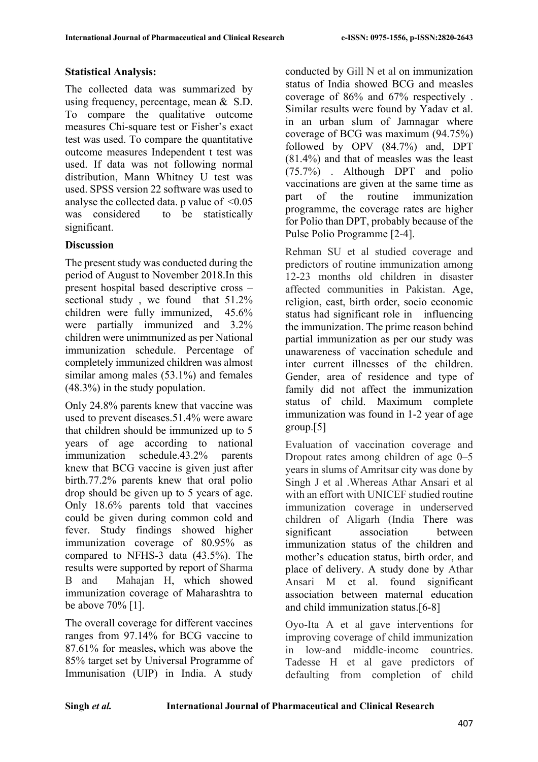# **Statistical Analysis:**

The collected data was summarized by using frequency, percentage, mean & S.D. To compare the qualitative outcome measures Chi-square test or Fisher's exact test was used. To compare the quantitative outcome measures Independent t test was used. If data was not following normal distribution, Mann Whitney U test was used. SPSS version 22 software was used to analyse the collected data. p value of  $\leq 0.05$ was considered to be statistically significant.

# **Discussion**

The present study was conducted during the period of August to November 2018.In this present hospital based descriptive cross – sectional study , we found that 51.2% children were fully immunized, 45.6% were partially immunized and 3.2% children were unimmunized as per National immunization schedule. Percentage of completely immunized children was almost similar among males (53.1%) and females (48.3%) in the study population.

Only 24.8% parents knew that vaccine was used to prevent diseases.51.4% were aware that children should be immunized up to 5 years of age according to national immunization schedule.43.2% parents knew that BCG vaccine is given just after birth.77.2% parents knew that oral polio drop should be given up to 5 years of age. Only 18.6% parents told that vaccines could be given during common cold and fever. Study findings showed higher immunization coverage of 80.95% as compared to NFHS-3 data (43.5%). The results were supported by report of Sharma B and Mahajan H, which showed immunization coverage of Maharashtra to be above 70% [1].

The overall coverage for different vaccines ranges from 97.14% for BCG vaccine to 87.61% for measles**,** which was above the 85% target set by Universal Programme of Immunisation (UIP) in India. A study

conducted by Gill N et al on immunization status of India showed BCG and measles coverage of 86% and 67% respectively . Similar results were found by Yadav et al. in an urban slum of Jamnagar where coverage of BCG was maximum (94.75%) followed by OPV (84.7%) and, DPT (81.4%) and that of measles was the least (75.7%) . Although DPT and polio vaccinations are given at the same time as part of the routine immunization programme, the coverage rates are higher for Polio than DPT, probably because of the Pulse Polio Programme [2-4].

Rehman SU et al studied coverage and predictors of routine immunization among 12-23 months old children in disaster affected communities in Pakistan. Age, religion, cast, birth order, socio economic status had significant role in influencing the immunization. The prime reason behind partial immunization as per our study was unawareness of vaccination schedule and inter current illnesses of the children. Gender, area of residence and type of family did not affect the immunization status of child. Maximum complete immunization was found in 1-2 year of age group.[5]

Evaluation of vaccination coverage and Dropout rates among children of age  $0-5$ years in slums of Amritsar city was done by Singh J et al .Whereas Athar Ansari et al with an effort with UNICEF studied routine immunization coverage in underserved children of Aligarh (India There was significant association between immunization status of the children and mother's education status, birth order, and place of delivery. A study done by Athar Ansari M et al. found significant association between maternal education and child immunization status.[6-8]

Oyo‐Ita A et al gave interventions for improving coverage of child immunization in low‐and middle‐income countries. Tadesse H et al gave predictors of defaulting from completion of child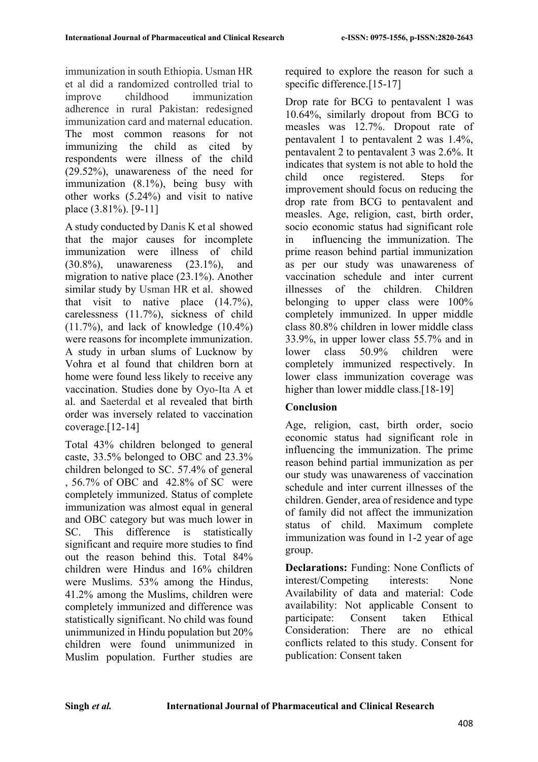immunization in south Ethiopia. Usman HR et al did a randomized controlled trial to improve childhood immunization adherence in rural Pakistan: redesigned immunization card and maternal education. The most common reasons for not immunizing the child as cited by respondents were illness of the child (29.52%), unawareness of the need for immunization (8.1%), being busy with other works (5.24%) and visit to native place (3.81%). [9-11]

A study conducted by Danis K et al showed that the major causes for incomplete immunization were illness of child (30.8%), unawareness (23.1%), and migration to native place (23.1%). Another similar study by Usman HR et al. showed that visit to native place  $(14.7\%)$ , carelessness (11.7%), sickness of child  $(11.7\%)$ , and lack of knowledge  $(10.4\%)$ were reasons for incomplete immunization. A study in urban slums of Lucknow by Vohra et al found that children born at home were found less likely to receive any vaccination. Studies done by Oyo‐Ita A et al. and Saeterdal et al revealed that birth order was inversely related to vaccination coverage.[12-14]

Total 43% children belonged to general caste, 33.5% belonged to OBC and 23.3% children belonged to SC. 57.4% of general , 56.7% of OBC and 42.8% of SC were completely immunized. Status of complete immunization was almost equal in general and OBC category but was much lower in SC. This difference is statistically significant and require more studies to find out the reason behind this. Total 84% children were Hindus and 16% children were Muslims. 53% among the Hindus, 41.2% among the Muslims, children were completely immunized and difference was statistically significant. No child was found unimmunized in Hindu population but 20% children were found unimmunized in Muslim population. Further studies are

required to explore the reason for such a specific difference.<sup>[15-17]</sup>

Drop rate for BCG to pentavalent 1 was 10.64%, similarly dropout from BCG to measles was 12.7%. Dropout rate of pentavalent 1 to pentavalent 2 was 1.4%, pentavalent 2 to pentavalent 3 was 2.6%. It indicates that system is not able to hold the child once registered. Steps for improvement should focus on reducing the drop rate from BCG to pentavalent and measles. Age, religion, cast, birth order, socio economic status had significant role in influencing the immunization. The prime reason behind partial immunization as per our study was unawareness of vaccination schedule and inter current illnesses of the children. Children belonging to upper class were 100% completely immunized. In upper middle class 80.8% children in lower middle class 33.9%, in upper lower class 55.7% and in lower class 50.9% children were completely immunized respectively. In lower class immunization coverage was higher than lower middle class.<sup>[18-19]</sup>

# **Conclusion**

Age, religion, cast, birth order, socio economic status had significant role in influencing the immunization. The prime reason behind partial immunization as per our study was unawareness of vaccination schedule and inter current illnesses of the children. Gender, area of residence and type of family did not affect the immunization status of child. Maximum complete immunization was found in 1-2 year of age group.

**Declarations:** Funding: None Conflicts of interest/Competing interests: None Availability of data and material: Code availability: Not applicable Consent to participate: Consent taken Ethical Consideration: There are no ethical conflicts related to this study. Consent for publication: Consent taken